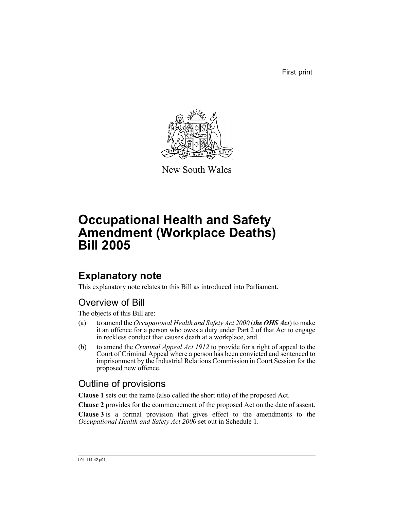First print



New South Wales

# **Occupational Health and Safety Amendment (Workplace Deaths) Bill 2005**

## **Explanatory note**

This explanatory note relates to this Bill as introduced into Parliament.

## Overview of Bill

The objects of this Bill are:

- (a) to amend the *Occupational Health and Safety Act 2000* (*the OHS Act*) to make it an offence for a person who owes a duty under Part 2 of that Act to engage in reckless conduct that causes death at a workplace, and
- (b) to amend the *Criminal Appeal Act 1912* to provide for a right of appeal to the Court of Criminal Appeal where a person has been convicted and sentenced to imprisonment by the Industrial Relations Commission in Court Session for the proposed new offence.

## Outline of provisions

**Clause 1** sets out the name (also called the short title) of the proposed Act.

**Clause 2** provides for the commencement of the proposed Act on the date of assent.

**Clause 3** is a formal provision that gives effect to the amendments to the *Occupational Health and Safety Act 2000* set out in Schedule 1.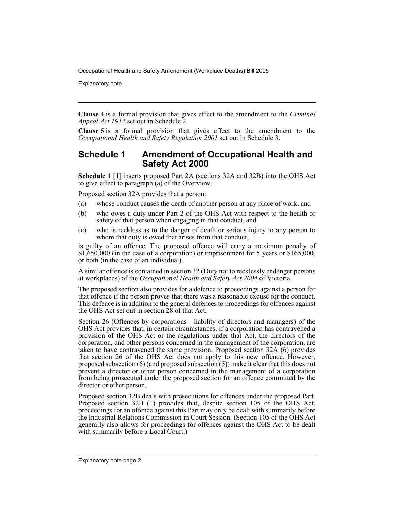Explanatory note

**Clause 4** is a formal provision that gives effect to the amendment to the *Criminal Appeal Act 1912* set out in Schedule 2.

**Clause 5** is a formal provision that gives effect to the amendment to the *Occupational Health and Safety Regulation 2001* set out in Schedule 3.

#### **Schedule 1 Amendment of Occupational Health and Safety Act 2000**

**Schedule 1 [1]** inserts proposed Part 2A (sections 32A and 32B) into the OHS Act to give effect to paragraph (a) of the Overview.

Proposed section 32A provides that a person:

- (a) whose conduct causes the death of another person at any place of work, and
- (b) who owes a duty under Part 2 of the OHS Act with respect to the health or safety of that person when engaging in that conduct, and
- (c) who is reckless as to the danger of death or serious injury to any person to whom that duty is owed that arises from that conduct,

is guilty of an offence. The proposed offence will carry a maximum penalty of \$1,650,000 (in the case of a corporation) or imprisonment for 5 years or \$165,000, or both (in the case of an individual).

A similar offence is contained in section 32 (Duty not to recklessly endanger persons at workplaces) of the *Occupational Health and Safety Act 2004* of Victoria.

The proposed section also provides for a defence to proceedings against a person for that offence if the person proves that there was a reasonable excuse for the conduct. This defence is in addition to the general defences to proceedings for offences against the OHS Act set out in section  $2\overline{8}$  of that Act.

Section 26 (Offences by corporations—liability of directors and managers) of the OHS Act provides that, in certain circumstances, if a corporation has contravened a provision of the OHS Act or the regulations under that Act, the directors of the corporation, and other persons concerned in the management of the corporation, are taken to have contravened the same provision. Proposed section  $32A(6)$  provides that section 26 of the OHS Act does not apply to this new offence. However, proposed subsection (6) (and proposed subsection (5)) make it clear that this does not prevent a director or other person concerned in the management of a corporation from being prosecuted under the proposed section for an offence committed by the director or other person.

Proposed section 32B deals with prosecutions for offences under the proposed Part. Proposed section 32B (1) provides that, despite section 105 of the OHS Act, proceedings for an offence against this Part may only be dealt with summarily before the Industrial Relations Commission in Court Session. (Section 105 of the OHS Act generally also allows for proceedings for offences against the OHS Act to be dealt with summarily before a Local Court.)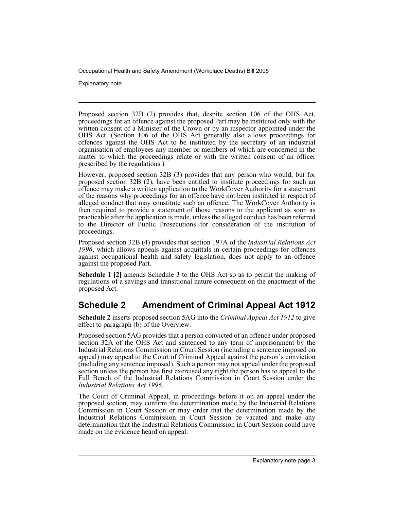Explanatory note

Proposed section 32B (2) provides that, despite section 106 of the OHS Act, proceedings for an offence against the proposed Part may be instituted only with the written consent of a Minister of the Crown or by an inspector appointed under the OHS Act. (Section 106 of the OHS Act generally also allows proceedings for offences against the OHS Act to be instituted by the secretary of an industrial organisation of employees any member or members of which are concerned in the matter to which the proceedings relate or with the written consent of an officer prescribed by the regulations.)

However, proposed section 32B (3) provides that any person who would, but for proposed section 32B (2), have been entitled to institute proceedings for such an offence may make a written application to the WorkCover Authority for a statement of the reasons why proceedings for an offence have not been instituted in respect of alleged conduct that may constitute such an offence. The WorkCover Authority is then required to provide a statement of those reasons to the applicant as soon as practicable after the application is made, unless the alleged conduct has been referred to the Director of Public Prosecutions for consideration of the institution of proceedings.

Proposed section 32B (4) provides that section 197A of the *Industrial Relations Act 1996*, which allows appeals against acquittals in certain proceedings for offences against occupational health and safety legislation, does not apply to an offence against the proposed Part.

**Schedule 1 [2]** amends Schedule 3 to the OHS Act so as to permit the making of regulations of a savings and transitional nature consequent on the enactment of the proposed Act.

### **Schedule 2 Amendment of Criminal Appeal Act 1912**

**Schedule 2** inserts proposed section 5AG into the *Criminal Appeal Act 1912* to give effect to paragraph (b) of the Overview.

Proposed section 5AG provides that a person convicted of an offence under proposed section 32A of the OHS Act and sentenced to any term of imprisonment by the Industrial Relations Commission in Court Session (including a sentence imposed on appeal) may appeal to the Court of Criminal Appeal against the person's conviction (including any sentence imposed). Such a person may not appeal under the proposed section unless the person has first exercised any right the person has to appeal to the Full Bench of the Industrial Relations Commission in Court Session under the *Industrial Relations Act 1996*.

The Court of Criminal Appeal, in proceedings before it on an appeal under the proposed section, may confirm the determination made by the Industrial Relations Commission in Court Session or may order that the determination made by the Industrial Relations Commission in Court Session be vacated and make any determination that the Industrial Relations Commission in Court Session could have made on the evidence heard on appeal.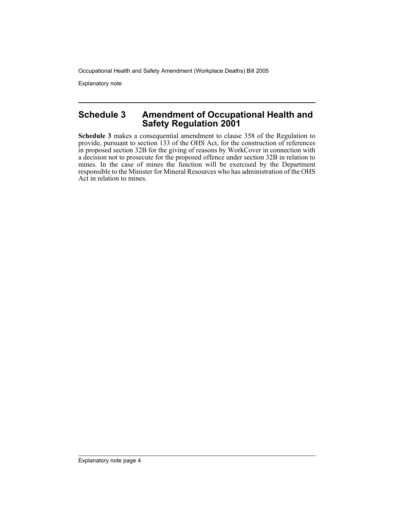Explanatory note

#### **Schedule 3 Amendment of Occupational Health and Safety Regulation 2001**

**Schedule 3** makes a consequential amendment to clause 358 of the Regulation to provide, pursuant to section 133 of the OHS Act, for the construction of references in proposed section 32B for the giving of reasons by WorkCover in connection with a decision not to prosecute for the proposed offence under section 32B in relation to mines. In the case of mines the function will be exercised by the Department responsible to the Minister for Mineral Resources who has administration of the OHS Act in relation to mines.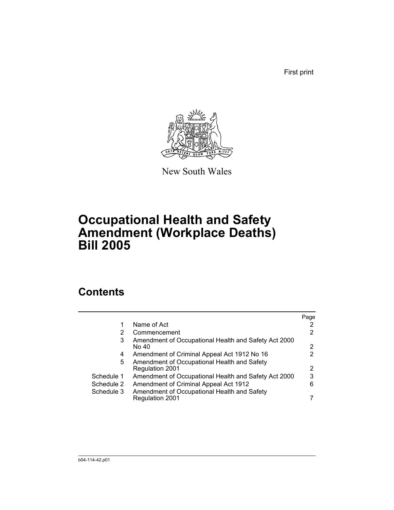First print



New South Wales

## **Occupational Health and Safety Amendment (Workplace Deaths) Bill 2005**

## **Contents**

|            |                                                                | Page |
|------------|----------------------------------------------------------------|------|
|            | Name of Act                                                    |      |
| 2          | Commencement                                                   | 2    |
| 3          | Amendment of Occupational Health and Safety Act 2000<br>No 40  | 2    |
| 4          | Amendment of Criminal Appeal Act 1912 No 16                    | 2    |
| 5.         | Amendment of Occupational Health and Safety<br>Regulation 2001 | 2    |
| Schedule 1 | Amendment of Occupational Health and Safety Act 2000           | 3    |
| Schedule 2 | Amendment of Criminal Appeal Act 1912                          | 6    |
| Schedule 3 | Amendment of Occupational Health and Safety<br>Regulation 2001 |      |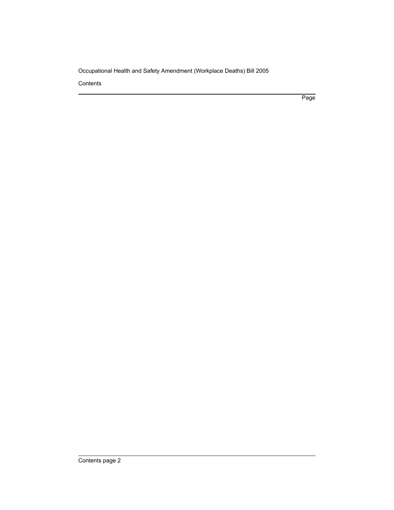**Contents** 

Page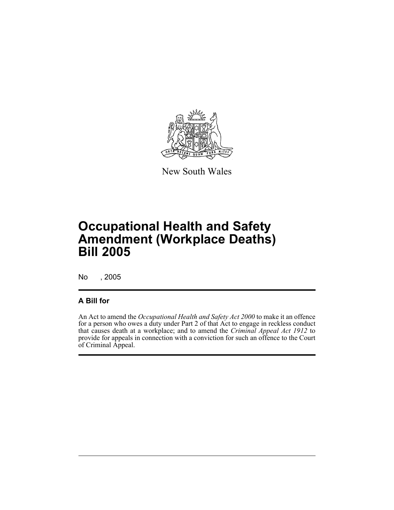

New South Wales

## **Occupational Health and Safety Amendment (Workplace Deaths) Bill 2005**

No , 2005

#### **A Bill for**

An Act to amend the *Occupational Health and Safety Act 2000* to make it an offence for a person who owes a duty under Part 2 of that Act to engage in reckless conduct that causes death at a workplace; and to amend the *Criminal Appeal Act 1912* to provide for appeals in connection with a conviction for such an offence to the Court of Criminal Appeal.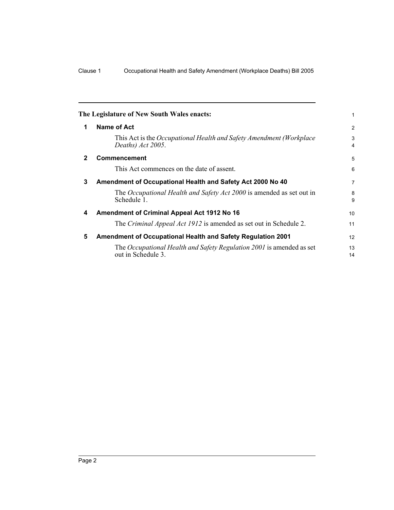<span id="page-7-3"></span><span id="page-7-2"></span><span id="page-7-1"></span><span id="page-7-0"></span>

|             | The Legislature of New South Wales enacts:                                                 | 1                   |
|-------------|--------------------------------------------------------------------------------------------|---------------------|
| 1           | <b>Name of Act</b>                                                                         | 2                   |
|             | This Act is the Occupational Health and Safety Amendment (Workplace<br>Deaths) Act 2005.   | 3<br>$\overline{4}$ |
| $\mathbf 2$ | Commencement                                                                               | 5                   |
|             | This Act commences on the date of assent.                                                  | 6                   |
| 3           | Amendment of Occupational Health and Safety Act 2000 No 40                                 | $\overline{7}$      |
|             | The <i>Occupational Health and Safety Act 2000</i> is amended as set out in<br>Schedule 1. | 8<br>9              |
| 4           | Amendment of Criminal Appeal Act 1912 No 16                                                | 10                  |
|             | The Criminal Appeal Act 1912 is amended as set out in Schedule 2.                          | 11                  |
| 5           | <b>Amendment of Occupational Health and Safety Regulation 2001</b>                         | 12                  |
|             | The Occupational Health and Safety Regulation 2001 is amended as set<br>out in Schedule 3. | 13<br>14            |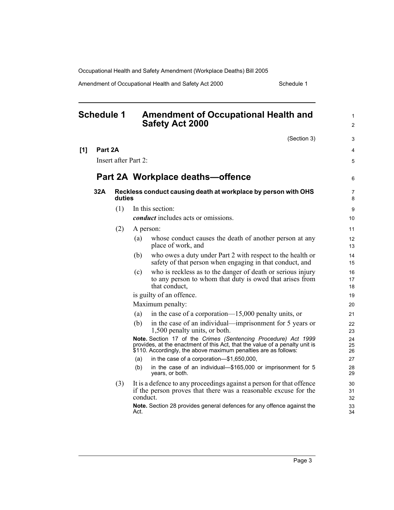Amendment of Occupational Health and Safety Act 2000 Schedule 1

<span id="page-8-0"></span>

| <b>Schedule 1</b> |         | <b>Amendment of Occupational Health and</b><br><b>Safety Act 2000</b> |          | 1<br>2                                                                                                                                                                                                           |                     |
|-------------------|---------|-----------------------------------------------------------------------|----------|------------------------------------------------------------------------------------------------------------------------------------------------------------------------------------------------------------------|---------------------|
|                   |         |                                                                       |          | (Section 3)                                                                                                                                                                                                      | 3                   |
| [1]               | Part 2A |                                                                       |          |                                                                                                                                                                                                                  | 4                   |
|                   |         | Insert after Part 2:                                                  |          |                                                                                                                                                                                                                  | 5                   |
|                   |         |                                                                       |          | Part 2A Workplace deaths-offence                                                                                                                                                                                 | 6                   |
|                   | 32A     | duties                                                                |          | Reckless conduct causing death at workplace by person with OHS                                                                                                                                                   | $\overline{7}$<br>8 |
|                   |         | (1)                                                                   |          | In this section:                                                                                                                                                                                                 | 9                   |
|                   |         |                                                                       |          | <i>conduct</i> includes acts or omissions.                                                                                                                                                                       | 10                  |
|                   |         | (2)                                                                   |          | A person:                                                                                                                                                                                                        | 11                  |
|                   |         |                                                                       | (a)      | whose conduct causes the death of another person at any<br>place of work, and                                                                                                                                    | 12<br>13            |
|                   |         |                                                                       | (b)      | who owes a duty under Part 2 with respect to the health or<br>safety of that person when engaging in that conduct, and                                                                                           | 14<br>15            |
|                   |         |                                                                       | (c)      | who is reckless as to the danger of death or serious injury<br>to any person to whom that duty is owed that arises from<br>that conduct,                                                                         | 16<br>17<br>18      |
|                   |         |                                                                       |          | is guilty of an offence.                                                                                                                                                                                         | 19                  |
|                   |         |                                                                       |          | Maximum penalty:                                                                                                                                                                                                 | 20                  |
|                   |         |                                                                       | (a)      | in the case of a corporation— $15,000$ penalty units, or                                                                                                                                                         | 21                  |
|                   |         |                                                                       | (b)      | in the case of an individual—imprisonment for 5 years or<br>1,500 penalty units, or both.                                                                                                                        | 22<br>23            |
|                   |         |                                                                       |          | Note. Section 17 of the Crimes (Sentencing Procedure) Act 1999<br>provides, at the enactment of this Act, that the value of a penalty unit is<br>\$110. Accordingly, the above maximum penalties are as follows: | 24<br>25<br>26      |
|                   |         |                                                                       | (a)      | in the case of a corporation-\$1,650,000,                                                                                                                                                                        | 27                  |
|                   |         |                                                                       | (b)      | in the case of an individual-\$165,000 or imprisonment for 5<br>years, or both.                                                                                                                                  | 28<br>29            |
|                   |         | (3)                                                                   | conduct. | It is a defence to any proceedings against a person for that offence<br>if the person proves that there was a reasonable excuse for the                                                                          | 30<br>31<br>32      |
|                   |         |                                                                       | Act.     | Note. Section 28 provides general defences for any offence against the                                                                                                                                           | 33<br>34            |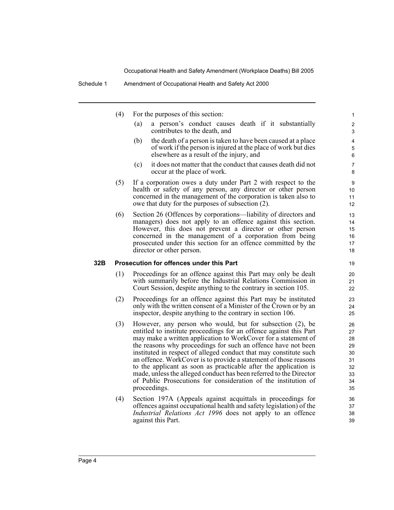- (4) For the purposes of this section:
	- (a) a person's conduct causes death if it substantially contributes to the death, and

- (b) the death of a person is taken to have been caused at a place of work if the person is injured at the place of work but dies elsewhere as a result of the injury, and
- (c) it does not matter that the conduct that causes death did not occur at the place of work.
- (5) If a corporation owes a duty under Part 2 with respect to the health or safety of any person, any director or other person concerned in the management of the corporation is taken also to owe that duty for the purposes of subsection (2).
- (6) Section 26 (Offences by corporations—liability of directors and managers) does not apply to an offence against this section. However, this does not prevent a director or other person concerned in the management of a corporation from being prosecuted under this section for an offence committed by the director or other person.

#### **32B Prosecution for offences under this Part**

- (1) Proceedings for an offence against this Part may only be dealt with summarily before the Industrial Relations Commission in Court Session, despite anything to the contrary in section 105.
- (2) Proceedings for an offence against this Part may be instituted only with the written consent of a Minister of the Crown or by an inspector, despite anything to the contrary in section 106.
- (3) However, any person who would, but for subsection (2), be entitled to institute proceedings for an offence against this Part may make a written application to WorkCover for a statement of the reasons why proceedings for such an offence have not been instituted in respect of alleged conduct that may constitute such an offence. WorkCover is to provide a statement of those reasons to the applicant as soon as practicable after the application is made, unless the alleged conduct has been referred to the Director of Public Prosecutions for consideration of the institution of proceedings.
- (4) Section 197A (Appeals against acquittals in proceedings for offences against occupational health and safety legislation) of the *Industrial Relations Act 1996* does not apply to an offence against this Part.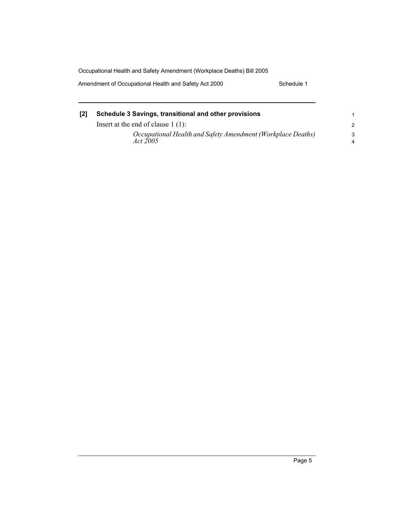Occupational Health and Safety Amendment (Workplace Deaths) Bill 2005 Amendment of Occupational Health and Safety Act 2000 Schedule 1

| Schedule 3 Savings, transitional and other provisions                          |                     |
|--------------------------------------------------------------------------------|---------------------|
| Insert at the end of clause $1(1)$ :                                           | $\mathcal{P}$       |
| Occupational Health and Safety Amendment (Workplace Deaths)<br><i>Act</i> 2005 | 3<br>$\overline{4}$ |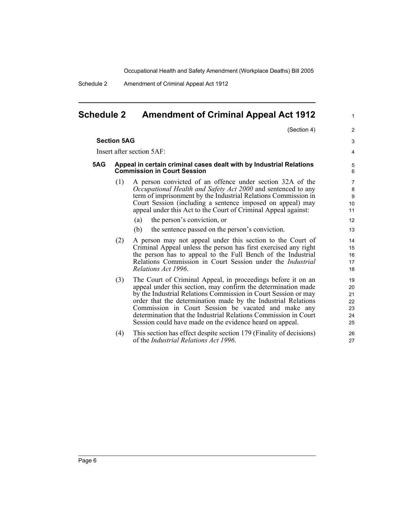Schedule 2 Amendment of Criminal Appeal Act 1912

### <span id="page-11-0"></span>**Schedule 2 Amendment of Criminal Appeal Act 1912**

(Section 4)

1

2

|     | <b>Section 5AG</b>                                                                                        |                                                                                                                                                                                                                                                                                                                                                                                                                                                        | 3                                                   |  |
|-----|-----------------------------------------------------------------------------------------------------------|--------------------------------------------------------------------------------------------------------------------------------------------------------------------------------------------------------------------------------------------------------------------------------------------------------------------------------------------------------------------------------------------------------------------------------------------------------|-----------------------------------------------------|--|
|     |                                                                                                           | Insert after section 5AF:                                                                                                                                                                                                                                                                                                                                                                                                                              | 4                                                   |  |
| 5AG | Appeal in certain criminal cases dealt with by Industrial Relations<br><b>Commission in Court Session</b> |                                                                                                                                                                                                                                                                                                                                                                                                                                                        |                                                     |  |
|     | (1)                                                                                                       | A person convicted of an offence under section 32A of the<br>Occupational Health and Safety Act 2000 and sentenced to any<br>term of imprisonment by the Industrial Relations Commission in<br>Court Session (including a sentence imposed on appeal) may<br>appeal under this Act to the Court of Criminal Appeal against:                                                                                                                            | $\overline{7}$<br>8<br>$\boldsymbol{9}$<br>10<br>11 |  |
|     |                                                                                                           | the person's conviction, or<br>(a)<br>(b)<br>the sentence passed on the person's conviction.                                                                                                                                                                                                                                                                                                                                                           | 12<br>13                                            |  |
|     | (2)                                                                                                       | A person may not appeal under this section to the Court of<br>Criminal Appeal unless the person has first exercised any right<br>the person has to appeal to the Full Bench of the Industrial<br>Relations Commission in Court Session under the <i>Industrial</i><br>Relations Act 1996.                                                                                                                                                              | 14<br>15<br>16<br>17<br>18                          |  |
|     | (3)                                                                                                       | The Court of Criminal Appeal, in proceedings before it on an<br>appeal under this section, may confirm the determination made<br>by the Industrial Relations Commission in Court Session or may<br>order that the determination made by the Industrial Relations<br>Commission in Court Session be vacated and make any<br>determination that the Industrial Relations Commission in Court<br>Session could have made on the evidence heard on appeal. | 19<br>20<br>21<br>22<br>23<br>24<br>25              |  |
|     | (4)                                                                                                       | This section has effect despite section 179 (Finality of decisions)<br>of the Industrial Relations Act 1996.                                                                                                                                                                                                                                                                                                                                           | 26<br>27                                            |  |
|     |                                                                                                           |                                                                                                                                                                                                                                                                                                                                                                                                                                                        |                                                     |  |